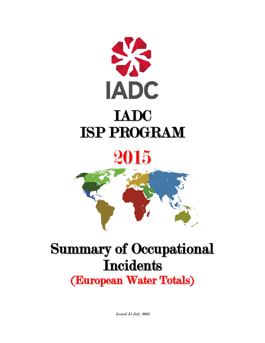

# 2015

## Summary of Occupational **Incidents** (European Water Totals)

Issued 15 July 2016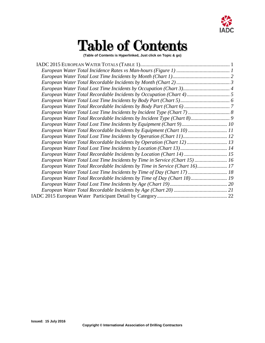

# Table of Contents

**(Table of Contents is Hyperlinked, Just click on Topic & go)**

| European Water Total Recordable Incidents by Equipment (Chart 10)  11      |  |
|----------------------------------------------------------------------------|--|
|                                                                            |  |
| European Water Total Recordable Incidents by Operation (Chart 12) 13       |  |
|                                                                            |  |
|                                                                            |  |
| European Water Total Lost Time Incidents by Time in Service (Chart 15) 16  |  |
| European Water Total Recordable Incidents by Time in Service (Chart 16) 17 |  |
| European Water Total Lost Time Incidents by Time of Day (Chart 17)  18     |  |
| European Water Total Recordable Incidents by Time of Day (Chart 18) 19     |  |
|                                                                            |  |
|                                                                            |  |
|                                                                            |  |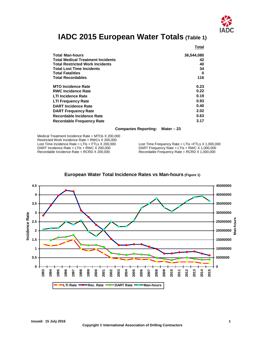

## **IADC 2015 European Water Totals (Table 1)**

<span id="page-2-0"></span>

|                                          | Total      |
|------------------------------------------|------------|
| <b>Total Man-hours</b>                   | 36,544,080 |
| <b>Total Medical Treatment Incidents</b> | 42         |
| <b>Total Restricted Work Incidents</b>   | 40         |
| <b>Total Lost Time Incidents</b>         | 34         |
| <b>Total Fatalities</b>                  | 0          |
| <b>Total Recordables</b>                 | 116        |
| <b>MTO Incidence Rate</b>                | 0.23       |
| <b>RWC Incidence Rate</b>                | 0.22       |
| <b>LTI Incidence Rate</b>                | 0.19       |
| <b>LTI Frequency Rate</b>                | 0.93       |
| <b>DART Incidence Rate</b>               | 0.40       |
| <b>DART Frequency Rate</b>               | 2.02       |
| Recordable Incidence Rate                | 0.63       |
| <b>Recordable Frequency Rate</b>         | 3.17       |

#### **Companies Reporting: Water – 23**

Medical Treatment Incidence Rate = MTOs X 200,000 Restricted Work Incidence Rate = RWCs X 200,000<br>Lost Time Incidence Rate = LTIs + FTLs X 200,000 Lost Time Incidence Rate = LTIs + FTLs X 200,000 Lost Time Frequency Rate = LTIs + FTLs X 1,000,000<br>DART Incidence Rate = LTIs + RWC X 200,000 DART Frequency Rate = LTIs + RWC X 1,000,000 DART Incidence Rate = LTIs + RWC X 200,000 DART Frequency Rate = LTIs + RWC X 1,000,000<br>Recordable Incidence Rate = RCRD X 200,000 Recordable Frequency Rate = RCRD X 1,000,000

Recordable Frequency Rate = RCRD  $X$  1,000,000

<span id="page-2-1"></span>

#### **European Water Total Incidence Rates vs Man-hours (Figure 1)**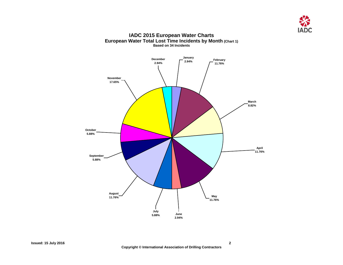

#### **IADC 2015 European Water Charts European Water Total Lost Time Incidents by Month (Chart 1) Based on 34 Incidents**

<span id="page-3-0"></span>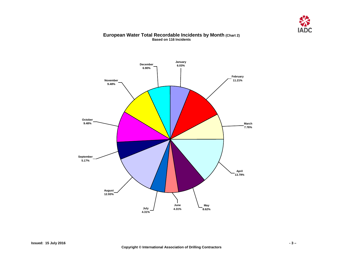

#### **European Water Total Recordable Incidents by Month (Chart 2) Based on 116 Incidents**

<span id="page-4-0"></span>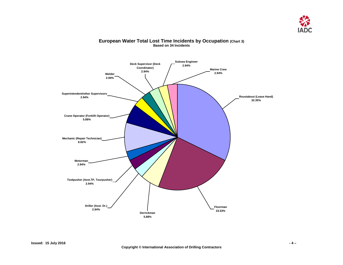

#### <span id="page-5-0"></span>**Mechanic (Repair Technician) 8.82% Crane Operator (Forklift Operator) 5.88% Welder 2.94% Marine Crew 2.94% Roustabout (Lease Hand) 32.35% Floorman 23.53% Derrickman 5.88% Driller (Asst. Dr.) 2.94% Motorman 2.94% Toolpusher (Asst.TP, Tourpusher) 2.94% Deck Supervisor (Deck Coordinator) 2.94% Subsea Engineer 2.94% Superintendent/other Supervisors 2.94%**

#### **European Water Total Lost Time Incidents by Occupation (Chart 3) Based on 34 Incidents**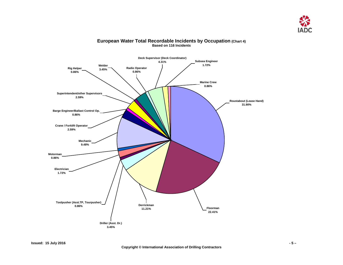

<span id="page-6-0"></span>

#### **European Water Total Recordable Incidents by Occupation (Chart 4) Based on 116 Incidents**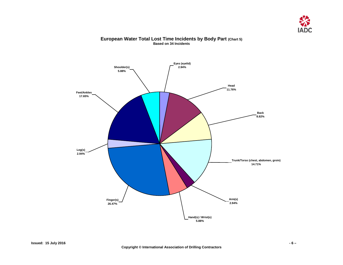

### <span id="page-7-0"></span>**Trunk/Torso (chest, abdomen, groin) 14.71% Head 11.76% Back 8.82% Feet/Ankles 17.65% Leg(s) 2.94% Finger(s) 26.47% Hand(s) / Wrist(s) 5.88% Arm(s) 2.94% Shoulder(s) 5.88% Eyes (eyelid) 2.94%**

#### **European Water Total Lost Time Incidents by Body Part (Chart 5) Based on 34 Incidents**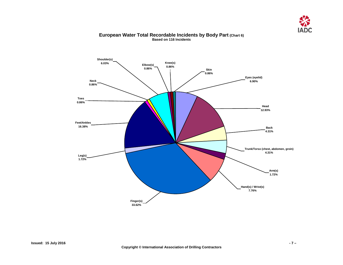

#### <span id="page-8-0"></span>**Toes 0.86% Knee(s) 0.86% Trunk/Torso (chest, abdomen, groin) 4.31% Arm(s) 1.72% Back 4.31% Head 12.93% Eyes (eyelid) 6.90% Feet/Ankles 16.38% Leg(s) 1.72% Finger(s) 33.62% Hand(s) / Wrist(s) 7.76% Skin 0.86% Neck 0.86% Shoulder(s) 6.03% Elbow(s) 0.86%**

#### **European Water Total Recordable Incidents by Body Part (Chart 6) Based on 116 Incidents**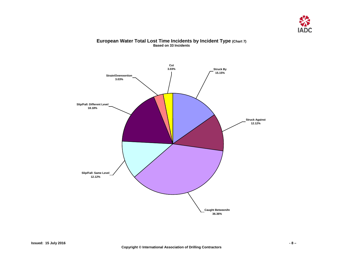

#### **European Water Total Lost Time Incidents by Incident Type (Chart 7) Based on 33 Incidents**

<span id="page-9-0"></span>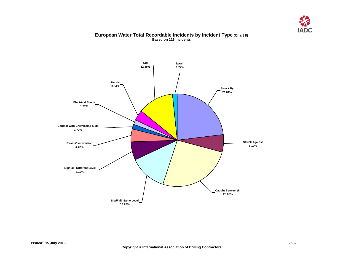

#### **European Water Total Recordable Incidents by Incident Type (Chart 8) Based on 113 Incidents**

<span id="page-10-0"></span>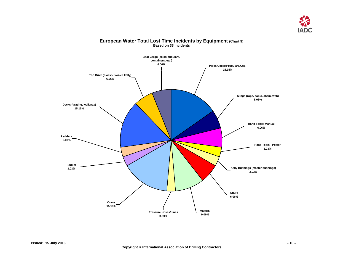

#### <span id="page-11-0"></span>**Boat Cargo (skids, tubulars, containers, etc.) 6.06% Top Drive (blocks, swivel, kelly) 6.06% Crane 15.15% Material 9.09% Hand Tools: Manual 6.06% Slings (rope, cable, chain, web) 6.06% Pipes/Collars/Tubulars/Csg. 15.15% Hand Tools: Power 3.03% Pressure Hoses/Lines 3.03% Decks (grating, walkway) 15.15% Ladders 3.03% Kelly Bushings (master bushings) 3.03% Stairs 6.06% Forklift 3.03%**

#### **European Water Total Lost Time Incidents by Equipment (Chart 9) Based on 33 Incidents**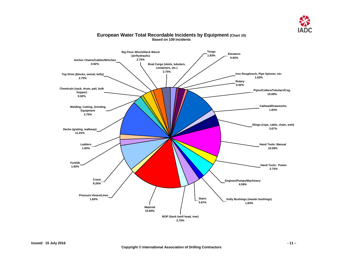

<span id="page-12-0"></span>

#### **European Water Total Recordable Incidents by Equipment (Chart 10) Based on 109 Incidents**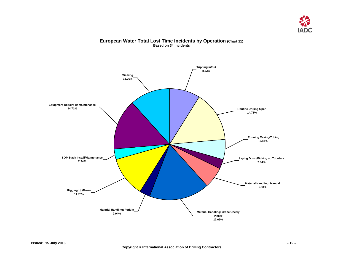

#### **European Water Total Lost Time Incidents by Operation (Chart 11) Based on 34 Incidents**

<span id="page-13-0"></span>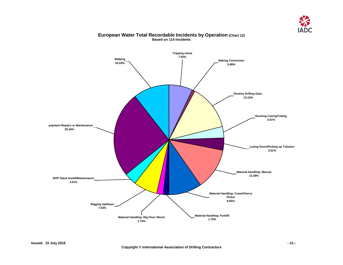

<span id="page-14-0"></span>

#### **European Water Total Recordable Incidents by Operation (Chart 12) Based on 114 Incidents**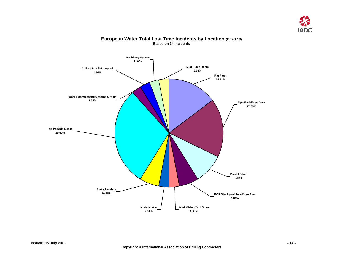

<span id="page-15-0"></span>

#### **European Water Total Lost Time Incidents by Location (Chart 13) Based on 34 Incidents**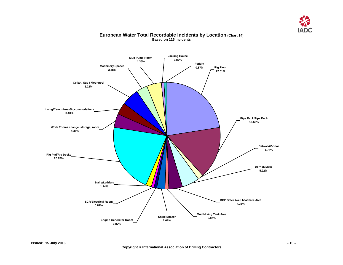

#### <span id="page-16-0"></span>**Forklift 0.87% Shale Shaker 2.61% Mud Mixing Tank/Area 0.87% BOP Stack /well head/tree Area 4.35% Pipe Rack/Pipe Deck 15.65% Catwalk/V-door 1.74% Derrick/Mast 5.22% Living/Camp Areas/Accommodations 3.48% Cellar / Sub / Moonpool 5.22% Machinery Spaces 3.48% Rig Pad/Rig Decks 20.87% Work Rooms change, storage, room 4.35% Rig Floor 22.61% SCR/Electrical Room 0.87% Stairs/Ladders 1.74% Engine Generator Room 0.87% Mud Pump Room 4.35% Jacking House 0.87%**

#### **European Water Total Recordable Incidents by Location (Chart 14) Based on 115 Incidents**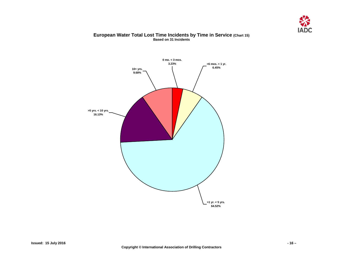

#### **European Water Total Lost Time Incidents by Time in Service (Chart 15) Based on 31 Incidents**

<span id="page-17-0"></span>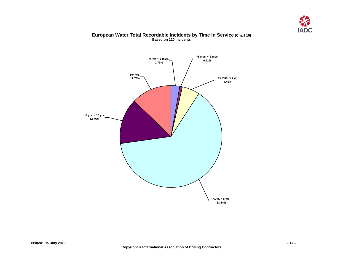

#### **European Water Total Recordable Incidents by Time in Service (Chart 16) Based on 110 Incidents**

<span id="page-18-0"></span>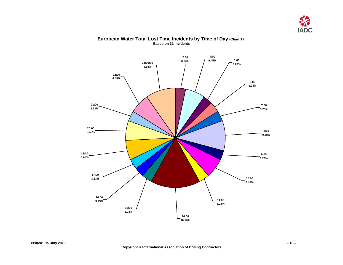

#### <span id="page-19-0"></span>**15:00 3.23% 14:00 16.13% 16:00 3.23% 17:00 3.23% 18:00 6.45% 21:00 3.23% 20:00 6.45% 22:00 6.45% 24:00:00 9.68% 2:00 3.23% 4:00 6.45% 5:00 3.23% 6:00 3.23% 7:00 3.23% 8:00 9.68% 9:00 3.23% 10:00 6.45% 11:00 3.23%**

#### **European Water Total Lost Time Incidents by Time of Day (Chart 17) Based on 31 Incidents**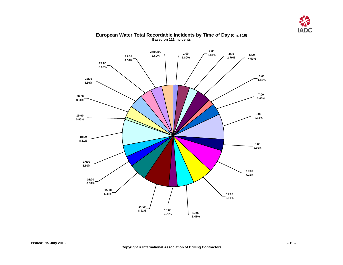

<span id="page-20-0"></span>

#### **European Water Total Recordable Incidents by Time of Day (Chart 18) Based on 111 Incidents**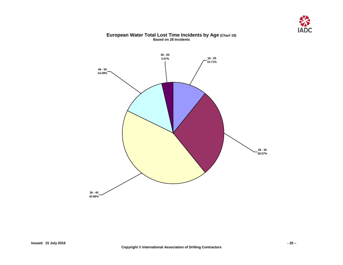

## **56 - 65 3.57% 46 - 55 14.29% 36 - 45 42.86% 26 - 35 28.57% 18 - 25 10.71%**

#### **European Water Total Lost Time Incidents by Age (Chart 19) Based on 28 Incidents**